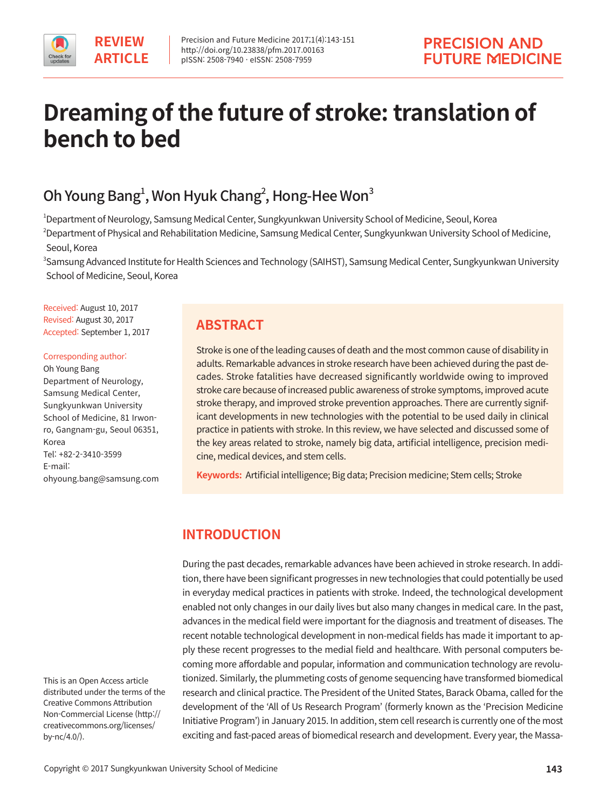# **Dreaming of the future of stroke: translation of bench to bed**

# Oh Young Bang $^1$ , Won Hyuk Chang $^2$ , Hong-Hee Won $^3$

1 Department of Neurology, Samsung Medical Center, Sungkyunkwan University School of Medicine, Seoul, Korea 2 Department of Physical and Rehabilitation Medicine, Samsung Medical Center, Sungkyunkwan University School of Medicine, Seoul, Korea

3 Samsung Advanced Institute for Health Sciences and Technology (SAIHST), Samsung Medical Center, Sungkyunkwan University School of Medicine, Seoul, Korea

Received: August 10, 2017 Revised: August 30, 2017 Accepted: September 1, 2017

#### Corresponding author:

Oh Young Bang Department of Neurology, Samsung Medical Center, Sungkyunkwan University School of Medicine, 81 Irwonro, Gangnam-gu, Seoul 06351, Korea Tel: +82-2-3410-3599 E-mail: ohyoung.bang@samsung.com

This is an Open Access article distributed under the terms of the Creative Commons Attribution Non-Commercial License (http:// creativecommons.org/licenses/ by-nc/4.0/).

# **ABSTRACT**

Stroke is one of the leading causes of death and the most common cause of disability in adults. Remarkable advances in stroke research have been achieved during the past decades. Stroke fatalities have decreased significantly worldwide owing to improved stroke care because of increased public awareness of stroke symptoms, improved acute stroke therapy, and improved stroke prevention approaches. There are currently significant developments in new technologies with the potential to be used daily in clinical practice in patients with stroke. In this review, we have selected and discussed some of the key areas related to stroke, namely big data, artificial intelligence, precision medicine, medical devices, and stem cells.

**Keywords:** Artificial intelligence; Big data; Precision medicine; Stem cells; Stroke

# **INTRODUCTION**

During the past decades, remarkable advances have been achieved in stroke research. In addition, there have been significant progresses in new technologies that could potentially be used in everyday medical practices in patients with stroke. Indeed, the technological development enabled not only changes in our daily lives but also many changes in medical care. In the past, advances in the medical field were important for the diagnosis and treatment of diseases. The recent notable technological development in non-medical fields has made it important to apply these recent progresses to the medial field and healthcare. With personal computers becoming more affordable and popular, information and communication technology are revolutionized. Similarly, the plummeting costs of genome sequencing have transformed biomedical research and clinical practice. The President of the United States, Barack Obama, called for the development of the 'All of Us Research Program' (formerly known as the 'Precision Medicine Initiative Program') in January 2015. In addition, stem cell research is currently one of the most exciting and fast-paced areas of biomedical research and development. Every year, the Massa-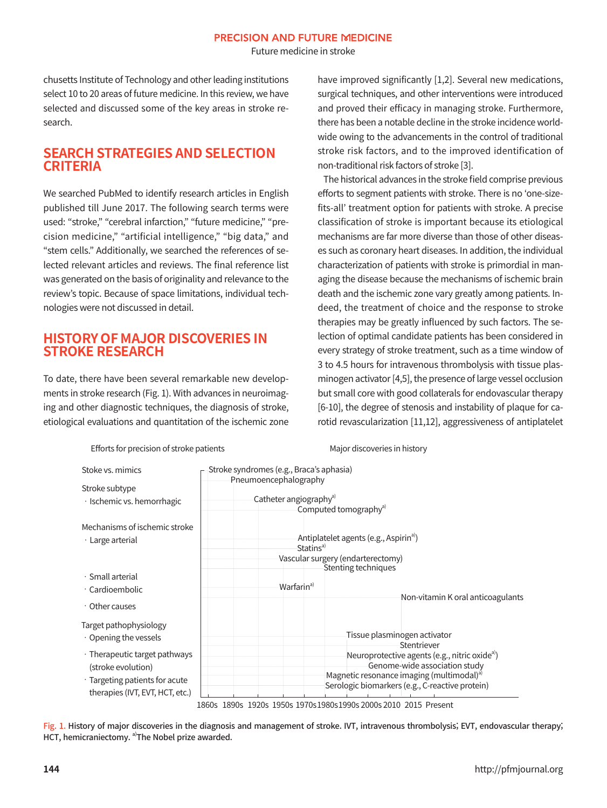Future medicine in stroke

chusetts Institute of Technology and other leading institutions select 10 to 20 areas of future medicine. In this review, we have selected and discussed some of the key areas in stroke research.

# **SEARCH STRATEGIES AND SELECTION CRITERIA**

We searched PubMed to identify research articles in English published till June 2017. The following search terms were used: "stroke," "cerebral infarction," "future medicine," "precision medicine," "artificial intelligence," "big data," and "stem cells." Additionally, we searched the references of selected relevant articles and reviews. The final reference list was generated on the basis of originality and relevance to the review's topic. Because of space limitations, individual technologies were not discussed in detail.

# **HISTORY OF MAJOR DISCOVERIES IN STROKE RESEARCH**

To date, there have been several remarkable new developments in stroke research (Fig. 1). With advances in neuroimaging and other diagnostic techniques, the diagnosis of stroke, etiological evaluations and quantitation of the ischemic zone have improved significantly [1,2]. Several new medications, surgical techniques, and other interventions were introduced and proved their efficacy in managing stroke. Furthermore, there has been a notable decline in the stroke incidence worldwide owing to the advancements in the control of traditional stroke risk factors, and to the improved identification of non-traditional risk factors of stroke [3].

The historical advances in the stroke field comprise previous efforts to segment patients with stroke. There is no 'one-sizefits-all' treatment option for patients with stroke. A precise classification of stroke is important because its etiological mechanisms are far more diverse than those of other diseases such as coronary heart diseases. In addition, the individual characterization of patients with stroke is primordial in managing the disease because the mechanisms of ischemic brain death and the ischemic zone vary greatly among patients. Indeed, the treatment of choice and the response to stroke therapies may be greatly influenced by such factors. The selection of optimal candidate patients has been considered in every strategy of stroke treatment, such as a time window of 3 to 4.5 hours for intravenous thrombolysis with tissue plasminogen activator [4,5], the presence of large vessel occlusion but small core with good collaterals for endovascular therapy [6-10], the degree of stenosis and instability of plaque for carotid revascularization [11,12], aggressiveness of antiplatelet



Efforts for precision of stroke patients Major discoveries in history

1860s 1890s 1920s 1950s 1970s1980s1990s 2000s 2010 2015 Present

Fig. 1. History of major discoveries in the diagnosis and management of stroke. IVT, intravenous thrombolysis; EVT, endovascular therapy; HCT, hemicraniectomy. <sup>a)</sup>The Nobel prize awarded.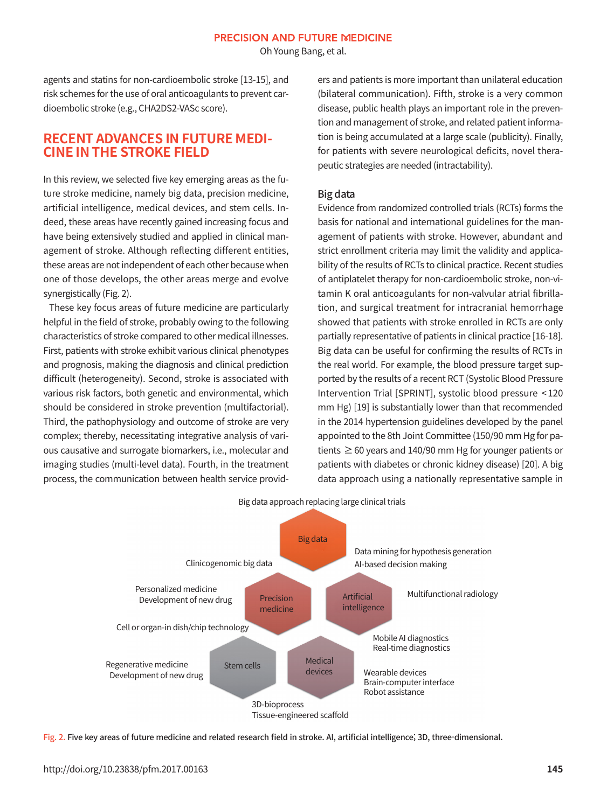Oh Young Bang, et al.

agents and statins for non-cardioembolic stroke [13-15], and risk schemes for the use of oral anticoagulants to prevent cardioembolic stroke (e.g., CHA2DS2-VASc score).

# **RECENT ADVANCES IN FUTURE MEDI-CINE IN THE STROKE FIELD**

In this review, we selected five key emerging areas as the future stroke medicine, namely big data, precision medicine, artificial intelligence, medical devices, and stem cells. Indeed, these areas have recently gained increasing focus and have being extensively studied and applied in clinical management of stroke. Although reflecting different entities, these areas are not independent of each other because when one of those develops, the other areas merge and evolve synergistically (Fig. 2).

These key focus areas of future medicine are particularly helpful in the field of stroke, probably owing to the following characteristics of stroke compared to other medical illnesses. First, patients with stroke exhibit various clinical phenotypes and prognosis, making the diagnosis and clinical prediction difficult (heterogeneity). Second, stroke is associated with various risk factors, both genetic and environmental, which should be considered in stroke prevention (multifactorial). Third, the pathophysiology and outcome of stroke are very complex; thereby, necessitating integrative analysis of various causative and surrogate biomarkers, i.e., molecular and imaging studies (multi-level data). Fourth, in the treatment process, the communication between health service providers and patients is more important than unilateral education (bilateral communication). Fifth, stroke is a very common disease, public health plays an important role in the prevention and management of stroke, and related patient information is being accumulated at a large scale (publicity). Finally, for patients with severe neurological deficits, novel therapeutic strategies are needed (intractability).

#### Big data

Evidence from randomized controlled trials (RCTs) forms the basis for national and international guidelines for the management of patients with stroke. However, abundant and strict enrollment criteria may limit the validity and applicability of the results of RCTs to clinical practice. Recent studies of antiplatelet therapy for non-cardioembolic stroke, non-vitamin K oral anticoagulants for non-valvular atrial fibrillation, and surgical treatment for intracranial hemorrhage showed that patients with stroke enrolled in RCTs are only partially representative of patients in clinical practice [16-18]. Big data can be useful for confirming the results of RCTs in the real world. For example, the blood pressure target supported by the results of a recent RCT (Systolic Blood Pressure Intervention Trial [SPRINT], systolic blood pressure < 120 mm Hg) [19] is substantially lower than that recommended in the 2014 hypertension guidelines developed by the panel appointed to the 8th Joint Committee (150/90 mm Hg for patients  $\geq$  60 years and 140/90 mm Hg for younger patients or patients with diabetes or chronic kidney disease) [20]. A big data approach using a nationally representative sample in



Big data approach replacing large clinical trials

Fig. 2. Five key areas of future medicine and related research field in stroke. AI, artificial intelligence; 3D, three-dimensional.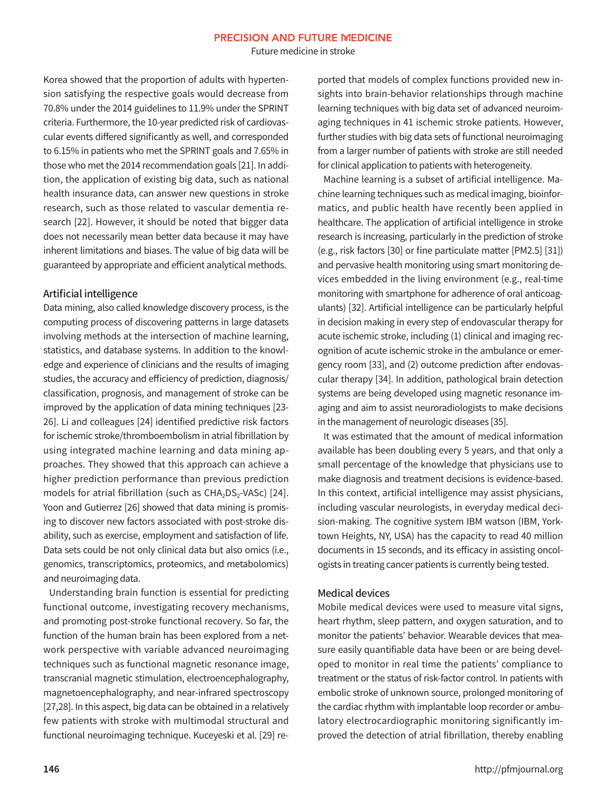Future medicine in stroke

Korea showed that the proportion of adults with hypertension satisfying the respective goals would decrease from 70.8% under the 2014 guidelines to 11.9% under the SPRINT criteria. Furthermore, the 10-year predicted risk of cardiovascular events differed significantly as well, and corresponded to 6.15% in patients who met the SPRINT goals and 7.65% in those who met the 2014 recommendation goals [21]. In addition, the application of existing big data, such as national health insurance data, can answer new questions in stroke research, such as those related to vascular dementia research [22]. However, it should be noted that bigger data does not necessarily mean better data because it may have inherent limitations and biases. The value of big data will be guaranteed by appropriate and efficient analytical methods.

#### Artificial intelligence

Data mining, also called knowledge discovery process, is the computing process of discovering patterns in large datasets involving methods at the intersection of machine learning, statistics, and database systems. In addition to the knowledge and experience of clinicians and the results of imaging studies, the accuracy and efficiency of prediction, diagnosis/ classification, prognosis, and management of stroke can be improved by the application of data mining techniques [23- 26]. Li and colleagues [24] identified predictive risk factors for ischemic stroke/thromboembolism in atrial fibrillation by using integrated machine learning and data mining approaches. They showed that this approach can achieve a higher prediction performance than previous prediction models for atrial fibrillation (such as  $CHA<sub>2</sub>DS<sub>2</sub>-VASC$ ) [24]. Yoon and Gutierrez [26] showed that data mining is promising to discover new factors associated with post-stroke disability, such as exercise, employment and satisfaction of life. Data sets could be not only clinical data but also omics (i.e., genomics, transcriptomics, proteomics, and metabolomics) and neuroimaging data.

Understanding brain function is essential for predicting functional outcome, investigating recovery mechanisms, and promoting post-stroke functional recovery. So far, the function of the human brain has been explored from a network perspective with variable advanced neuroimaging techniques such as functional magnetic resonance image, transcranial magnetic stimulation, electroencephalography, magnetoencephalography, and near-infrared spectroscopy [27,28]. In this aspect, big data can be obtained in a relatively few patients with stroke with multimodal structural and functional neuroimaging technique. Kuceyeski et al. [29] reported that models of complex functions provided new insights into brain-behavior relationships through machine learning techniques with big data set of advanced neuroimaging techniques in 41 ischemic stroke patients. However, further studies with big data sets of functional neuroimaging from a larger number of patients with stroke are still needed for clinical application to patients with heterogeneity.

Machine learning is a subset of artificial intelligence. Machine learning techniques such as medical imaging, bioinformatics, and public health have recently been applied in healthcare. The application of artificial intelligence in stroke research is increasing, particularly in the prediction of stroke (e.g., risk factors [30] or fine particulate matter [PM2.5] [31]) and pervasive health monitoring using smart monitoring devices embedded in the living environment (e.g., real-time monitoring with smartphone for adherence of oral anticoagulants) [32]. Artificial intelligence can be particularly helpful in decision making in every step of endovascular therapy for acute ischemic stroke, including (1) clinical and imaging recognition of acute ischemic stroke in the ambulance or emergency room [33], and (2) outcome prediction after endovascular therapy [34]. In addition, pathological brain detection systems are being developed using magnetic resonance imaging and aim to assist neuroradiologists to make decisions in the management of neurologic diseases [35].

It was estimated that the amount of medical information available has been doubling every 5 years, and that only a small percentage of the knowledge that physicians use to make diagnosis and treatment decisions is evidence-based. In this context, artificial intelligence may assist physicians, including vascular neurologists, in everyday medical decision-making. The cognitive system IBM watson (IBM, Yorktown Heights, NY, USA) has the capacity to read 40 million documents in 15 seconds, and its efficacy in assisting oncologists in treating cancer patients is currently being tested.

#### Medical devices

Mobile medical devices were used to measure vital signs, heart rhythm, sleep pattern, and oxygen saturation, and to monitor the patients' behavior. Wearable devices that measure easily quantifiable data have been or are being developed to monitor in real time the patients' compliance to treatment or the status of risk-factor control. In patients with embolic stroke of unknown source, prolonged monitoring of the cardiac rhythm with implantable loop recorder or ambulatory electrocardiographic monitoring significantly improved the detection of atrial fibrillation, thereby enabling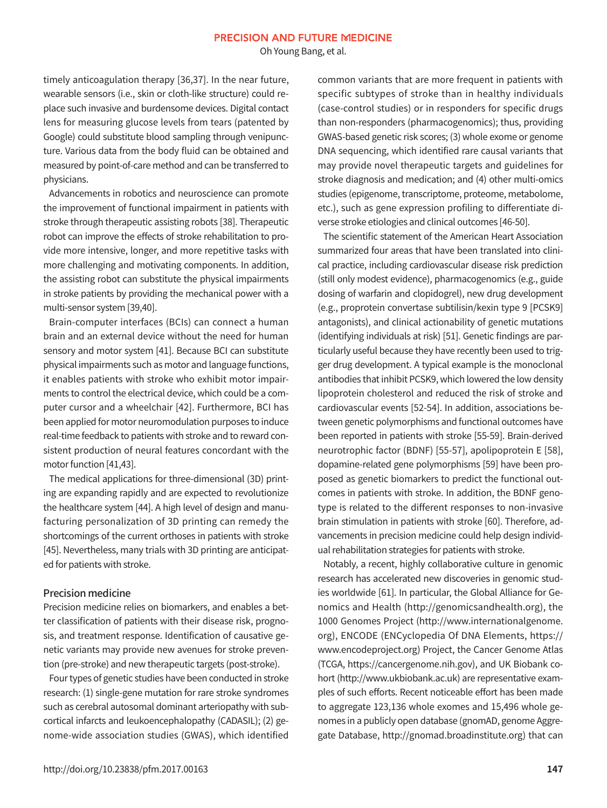Oh Young Bang, et al.

timely anticoagulation therapy [36,37]. In the near future, wearable sensors (i.e., skin or cloth-like structure) could replace such invasive and burdensome devices. Digital contact lens for measuring glucose levels from tears (patented by Google) could substitute blood sampling through venipuncture. Various data from the body fluid can be obtained and measured by point-of-care method and can be transferred to physicians.

Advancements in robotics and neuroscience can promote the improvement of functional impairment in patients with stroke through therapeutic assisting robots [38]. Therapeutic robot can improve the effects of stroke rehabilitation to provide more intensive, longer, and more repetitive tasks with more challenging and motivating components. In addition, the assisting robot can substitute the physical impairments in stroke patients by providing the mechanical power with a multi-sensor system [39,40].

Brain-computer interfaces (BCIs) can connect a human brain and an external device without the need for human sensory and motor system [41]. Because BCI can substitute physical impairments such as motor and language functions, it enables patients with stroke who exhibit motor impairments to control the electrical device, which could be a computer cursor and a wheelchair [42]. Furthermore, BCI has been applied for motor neuromodulation purposes to induce real-time feedback to patients with stroke and to reward consistent production of neural features concordant with the motor function [41,43].

The medical applications for three-dimensional (3D) printing are expanding rapidly and are expected to revolutionize the healthcare system [44]. A high level of design and manufacturing personalization of 3D printing can remedy the shortcomings of the current orthoses in patients with stroke [45]. Nevertheless, many trials with 3D printing are anticipated for patients with stroke.

#### Precision medicine

Precision medicine relies on biomarkers, and enables a better classification of patients with their disease risk, prognosis, and treatment response. Identification of causative genetic variants may provide new avenues for stroke prevention (pre-stroke) and new therapeutic targets (post-stroke).

Four types of genetic studies have been conducted in stroke research: (1) single-gene mutation for rare stroke syndromes such as cerebral autosomal dominant arteriopathy with subcortical infarcts and leukoencephalopathy (CADASIL); (2) genome-wide association studies (GWAS), which identified

common variants that are more frequent in patients with specific subtypes of stroke than in healthy individuals (case-control studies) or in responders for specific drugs than non-responders (pharmacogenomics); thus, providing GWAS-based genetic risk scores; (3) whole exome or genome DNA sequencing, which identified rare causal variants that may provide novel therapeutic targets and guidelines for stroke diagnosis and medication; and (4) other multi-omics studies (epigenome, transcriptome, proteome, metabolome, etc.), such as gene expression profiling to differentiate diverse stroke etiologies and clinical outcomes [46-50].

The scientific statement of the American Heart Association summarized four areas that have been translated into clinical practice, including cardiovascular disease risk prediction (still only modest evidence), pharmacogenomics (e.g., guide dosing of warfarin and clopidogrel), new drug development (e.g., proprotein convertase subtilisin/kexin type 9 [PCSK9] antagonists), and clinical actionability of genetic mutations (identifying individuals at risk) [51]. Genetic findings are particularly useful because they have recently been used to trigger drug development. A typical example is the monoclonal antibodies that inhibit PCSK9, which lowered the low density lipoprotein cholesterol and reduced the risk of stroke and cardiovascular events [52-54]. In addition, associations between genetic polymorphisms and functional outcomes have been reported in patients with stroke [55-59]. Brain-derived neurotrophic factor (BDNF) [55-57], apolipoprotein E [58], dopamine-related gene polymorphisms [59] have been proposed as genetic biomarkers to predict the functional outcomes in patients with stroke. In addition, the BDNF genotype is related to the different responses to non-invasive brain stimulation in patients with stroke [60]. Therefore, advancements in precision medicine could help design individual rehabilitation strategies for patients with stroke.

Notably, a recent, highly collaborative culture in genomic research has accelerated new discoveries in genomic studies worldwide [61]. In particular, the Global Alliance for Genomics and Health (http://genomicsandhealth.org), the 1000 Genomes Project (http://www.internationalgenome. org), ENCODE (ENCyclopedia Of DNA Elements, [https://](https://www.encodeproject.org)  [www.encodeproject.org\)](https://www.encodeproject.org) Project, the Cancer Genome Atlas (TCGA, https://cancergenome.nih.gov), and UK Biobank cohort (http://www.ukbiobank.ac.uk) are representative examples of such efforts. Recent noticeable effort has been made to aggregate 123,136 whole exomes and 15,496 whole genomes in a publicly open database (gnomAD, genome Aggregate Database, http://gnomad.broadinstitute.org) that can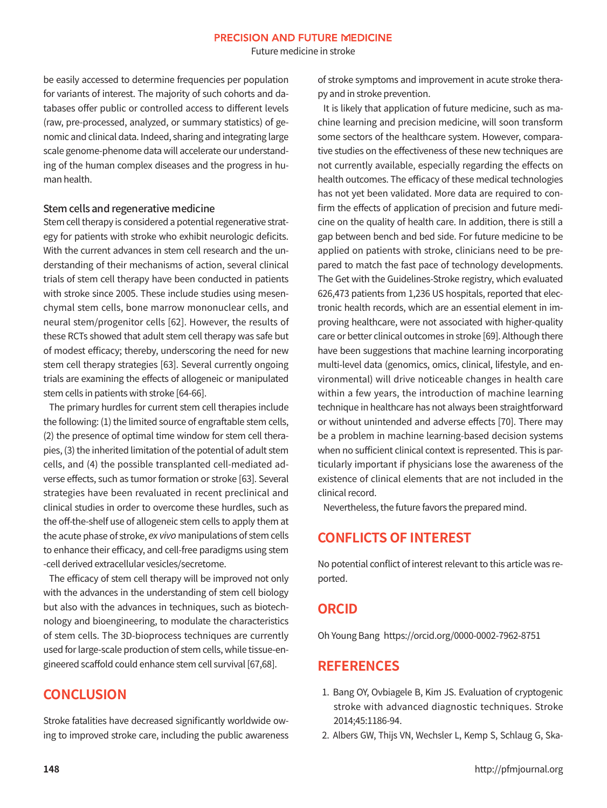Future medicine in stroke

be easily accessed to determine frequencies per population for variants of interest. The majority of such cohorts and databases offer public or controlled access to different levels (raw, pre-processed, analyzed, or summary statistics) of genomic and clinical data. Indeed, sharing and integrating large scale genome-phenome data will accelerate our understanding of the human complex diseases and the progress in human health.

#### Stem cells and regenerative medicine

Stem cell therapy is considered a potential regenerative strategy for patients with stroke who exhibit neurologic deficits. With the current advances in stem cell research and the understanding of their mechanisms of action, several clinical trials of stem cell therapy have been conducted in patients with stroke since 2005. These include studies using mesenchymal stem cells, bone marrow mononuclear cells, and neural stem/progenitor cells [62]. However, the results of these RCTs showed that adult stem cell therapy was safe but of modest efficacy; thereby, underscoring the need for new stem cell therapy strategies [63]. Several currently ongoing trials are examining the effects of allogeneic or manipulated stem cells in patients with stroke [64-66].

The primary hurdles for current stem cell therapies include the following: (1) the limited source of engraftable stem cells, (2) the presence of optimal time window for stem cell therapies, (3) the inherited limitation of the potential of adult stem cells, and (4) the possible transplanted cell-mediated adverse effects, such as tumor formation or stroke [63]. Several strategies have been revaluated in recent preclinical and clinical studies in order to overcome these hurdles, such as the off-the-shelf use of allogeneic stem cells to apply them at the acute phase of stroke, ex vivo manipulations of stem cells to enhance their efficacy, and cell-free paradigms using stem -cell derived extracellular vesicles/secretome.

The efficacy of stem cell therapy will be improved not only with the advances in the understanding of stem cell biology but also with the advances in techniques, such as biotechnology and bioengineering, to modulate the characteristics of stem cells. The 3D-bioprocess techniques are currently used for large-scale production of stem cells, while tissue-engineered scaffold could enhance stem cell survival [67,68].

## **CONCLUSION**

Stroke fatalities have decreased significantly worldwide owing to improved stroke care, including the public awareness of stroke symptoms and improvement in acute stroke therapy and in stroke prevention.

It is likely that application of future medicine, such as machine learning and precision medicine, will soon transform some sectors of the healthcare system. However, comparative studies on the effectiveness of these new techniques are not currently available, especially regarding the effects on health outcomes. The efficacy of these medical technologies has not yet been validated. More data are required to confirm the effects of application of precision and future medicine on the quality of health care. In addition, there is still a gap between bench and bed side. For future medicine to be applied on patients with stroke, clinicians need to be prepared to match the fast pace of technology developments. The Get with the Guidelines-Stroke registry, which evaluated 626,473 patients from 1,236 US hospitals, reported that electronic health records, which are an essential element in improving healthcare, were not associated with higher-quality care or better clinical outcomes in stroke [69]. Although there have been suggestions that machine learning incorporating multi-level data (genomics, omics, clinical, lifestyle, and environmental) will drive noticeable changes in health care within a few years, the introduction of machine learning technique in healthcare has not always been straightforward or without unintended and adverse effects [70]. There may be a problem in machine learning-based decision systems when no sufficient clinical context is represented. This is particularly important if physicians lose the awareness of the existence of clinical elements that are not included in the clinical record.

Nevertheless, the future favors the prepared mind.

# **CONFLICTS OF INTEREST**

No potential conflict of interest relevant to this article was reported.

### **ORCID**

Oh Young Bang https://orcid.org/0000-0002-7962-8751

### **REFERENCES**

- 1. Bang OY, Ovbiagele B, Kim JS. Evaluation of cryptogenic stroke with advanced diagnostic techniques. Stroke 2014;45:1186-94.
- 2. Albers GW, Thijs VN, Wechsler L, Kemp S, Schlaug G, Ska-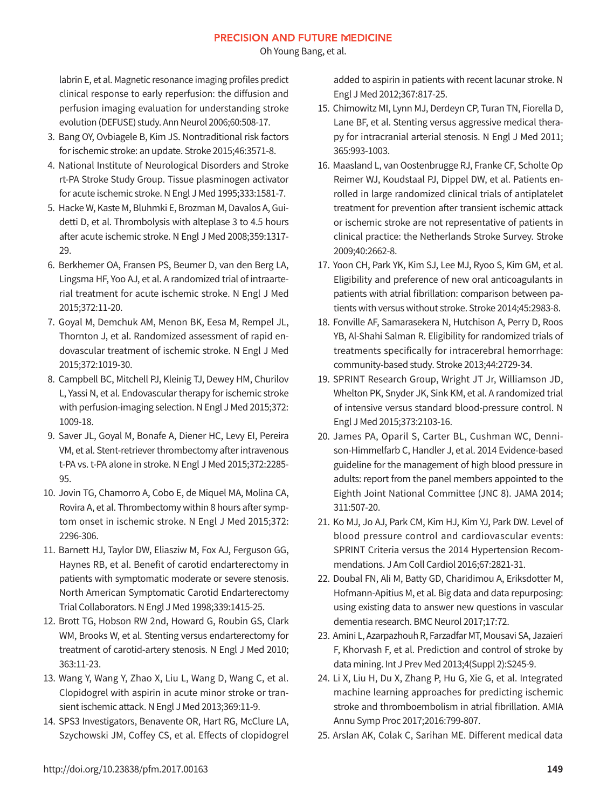Oh Young Bang, et al.

labrin E, et al. Magnetic resonance imaging profiles predict clinical response to early reperfusion: the diffusion and perfusion imaging evaluation for understanding stroke evolution (DEFUSE) study. Ann Neurol 2006;60:508-17.

- 3. Bang OY, Ovbiagele B, Kim JS. Nontraditional risk factors for ischemic stroke: an update. Stroke 2015;46:3571-8.
- 4. National Institute of Neurological Disorders and Stroke rt-PA Stroke Study Group. Tissue plasminogen activator for acute ischemic stroke. N Engl J Med 1995;333:1581-7.
- 5. Hacke W, Kaste M, Bluhmki E, Brozman M, Davalos A, Guidetti D, et al. Thrombolysis with alteplase 3 to 4.5 hours after acute ischemic stroke. N Engl J Med 2008;359:1317- 29.
- 6. Berkhemer OA, Fransen PS, Beumer D, van den Berg LA, Lingsma HF, Yoo AJ, et al. A randomized trial of intraarterial treatment for acute ischemic stroke. N Engl J Med 2015;372:11-20.
- 7. Goyal M, Demchuk AM, Menon BK, Eesa M, Rempel JL, Thornton J, et al. Randomized assessment of rapid endovascular treatment of ischemic stroke. N Engl J Med 2015;372:1019-30.
- 8. Campbell BC, Mitchell PJ, Kleinig TJ, Dewey HM, Churilov L, Yassi N, et al. Endovascular therapy for ischemic stroke with perfusion-imaging selection. N Engl J Med 2015;372: 1009-18.
- 9. Saver JL, Goyal M, Bonafe A, Diener HC, Levy EI, Pereira VM, et al. Stent-retriever thrombectomy after intravenous t-PA vs. t-PA alone in stroke. N Engl J Med 2015;372:2285- 95.
- 10. Jovin TG, Chamorro A, Cobo E, de Miquel MA, Molina CA, Rovira A, et al. Thrombectomy within 8 hours after symptom onset in ischemic stroke. N Engl J Med 2015;372: 2296-306.
- 11. Barnett HJ, Taylor DW, Eliasziw M, Fox AJ, Ferguson GG, Haynes RB, et al. Benefit of carotid endarterectomy in patients with symptomatic moderate or severe stenosis. North American Symptomatic Carotid Endarterectomy Trial Collaborators. N Engl J Med 1998;339:1415-25.
- 12. Brott TG, Hobson RW 2nd, Howard G, Roubin GS, Clark WM, Brooks W, et al. Stenting versus endarterectomy for treatment of carotid-artery stenosis. N Engl J Med 2010; 363:11-23.
- 13. Wang Y, Wang Y, Zhao X, Liu L, Wang D, Wang C, et al. Clopidogrel with aspirin in acute minor stroke or transient ischemic attack. N Engl J Med 2013;369:11-9.
- 14. SPS3 Investigators, Benavente OR, Hart RG, McClure LA, Szychowski JM, Coffey CS, et al. Effects of clopidogrel

added to aspirin in patients with recent lacunar stroke. N Engl J Med 2012;367:817-25.

- 15. Chimowitz MI, Lynn MJ, Derdeyn CP, Turan TN, Fiorella D, Lane BF, et al. Stenting versus aggressive medical therapy for intracranial arterial stenosis. N Engl J Med 2011; 365:993-1003.
- 16. Maasland L, van Oostenbrugge RJ, Franke CF, Scholte Op Reimer WJ, Koudstaal PJ, Dippel DW, et al. Patients enrolled in large randomized clinical trials of antiplatelet treatment for prevention after transient ischemic attack or ischemic stroke are not representative of patients in clinical practice: the Netherlands Stroke Survey. Stroke 2009;40:2662-8.
- 17. Yoon CH, Park YK, Kim SJ, Lee MJ, Ryoo S, Kim GM, et al. Eligibility and preference of new oral anticoagulants in patients with atrial fibrillation: comparison between patients with versus without stroke. Stroke 2014;45:2983-8.
- 18. Fonville AF, Samarasekera N, Hutchison A, Perry D, Roos YB, Al-Shahi Salman R. Eligibility for randomized trials of treatments specifically for intracerebral hemorrhage: community-based study. Stroke 2013;44:2729-34.
- 19. SPRINT Research Group, Wright JT Jr, Williamson JD, Whelton PK, Snyder JK, Sink KM, et al. A randomized trial of intensive versus standard blood-pressure control. N Engl J Med 2015;373:2103-16.
- 20. James PA, Oparil S, Carter BL, Cushman WC, Dennison-Himmelfarb C, Handler J, et al. 2014 Evidence-based guideline for the management of high blood pressure in adults: report from the panel members appointed to the Eighth Joint National Committee (JNC 8). JAMA 2014; 311:507-20.
- 21. Ko MJ, Jo AJ, Park CM, Kim HJ, Kim YJ, Park DW. Level of blood pressure control and cardiovascular events: SPRINT Criteria versus the 2014 Hypertension Recommendations. J Am Coll Cardiol 2016;67:2821-31.
- 22. Doubal FN, Ali M, Batty GD, Charidimou A, Eriksdotter M, Hofmann-Apitius M, et al. Big data and data repurposing: using existing data to answer new questions in vascular dementia research. BMC Neurol 2017;17:72.
- 23. Amini L, Azarpazhouh R, Farzadfar MT, Mousavi SA, Jazaieri F, Khorvash F, et al. Prediction and control of stroke by data mining. Int J Prev Med 2013;4(Suppl 2):S245-9.
- 24. Li X, Liu H, Du X, Zhang P, Hu G, Xie G, et al. Integrated machine learning approaches for predicting ischemic stroke and thromboembolism in atrial fibrillation. AMIA Annu Symp Proc 2017;2016:799-807.
- 25. Arslan AK, Colak C, Sarihan ME. Different medical data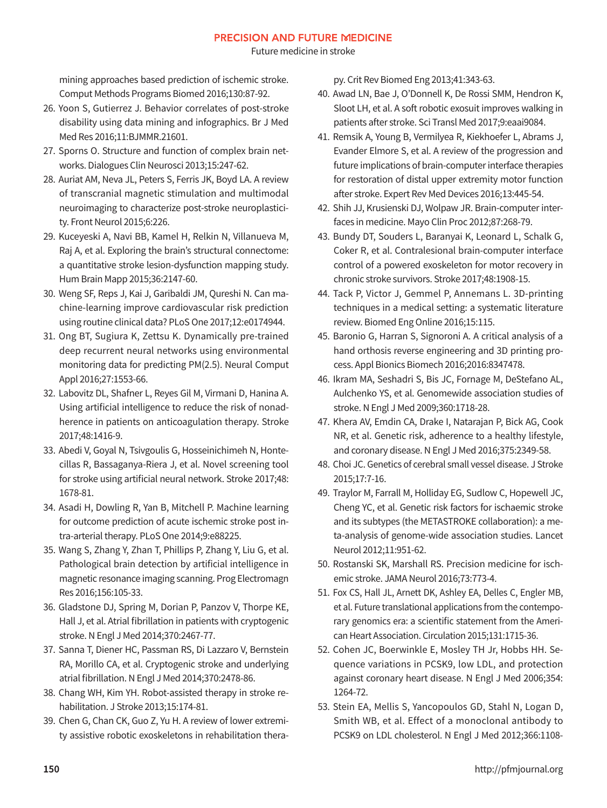Future medicine in stroke

mining approaches based prediction of ischemic stroke. Comput Methods Programs Biomed 2016;130:87-92.

- 26. Yoon S, Gutierrez J. Behavior correlates of post-stroke disability using data mining and infographics. Br J Med Med Res 2016;11:BJMMR.21601.
- 27. Sporns O. Structure and function of complex brain networks. Dialogues Clin Neurosci 2013;15:247-62.
- 28. Auriat AM, Neva JL, Peters S, Ferris JK, Boyd LA. A review of transcranial magnetic stimulation and multimodal neuroimaging to characterize post-stroke neuroplasticity. Front Neurol 2015;6:226.
- 29. Kuceyeski A, Navi BB, Kamel H, Relkin N, Villanueva M, Raj A, et al. Exploring the brain's structural connectome: a quantitative stroke lesion-dysfunction mapping study. Hum Brain Mapp 2015;36:2147-60.
- 30. Weng SF, Reps J, Kai J, Garibaldi JM, Qureshi N. Can machine-learning improve cardiovascular risk prediction using routine clinical data? PLoS One 2017;12:e0174944.
- 31. Ong BT, Sugiura K, Zettsu K. Dynamically pre-trained deep recurrent neural networks using environmental monitoring data for predicting PM(2.5). Neural Comput Appl 2016;27:1553-66.
- 32. Labovitz DL, Shafner L, Reyes Gil M, Virmani D, Hanina A. Using artificial intelligence to reduce the risk of nonadherence in patients on anticoagulation therapy. Stroke 2017;48:1416-9.
- 33. Abedi V, Goyal N, Tsivgoulis G, Hosseinichimeh N, Hontecillas R, Bassaganya-Riera J, et al. Novel screening tool for stroke using artificial neural network. Stroke 2017;48: 1678-81.
- 34. Asadi H, Dowling R, Yan B, Mitchell P. Machine learning for outcome prediction of acute ischemic stroke post intra-arterial therapy. PLoS One 2014;9:e88225.
- 35. Wang S, Zhang Y, Zhan T, Phillips P, Zhang Y, Liu G, et al. Pathological brain detection by artificial intelligence in magnetic resonance imaging scanning. Prog Electromagn Res 2016;156:105-33.
- 36. Gladstone DJ, Spring M, Dorian P, Panzov V, Thorpe KE, Hall J, et al. Atrial fibrillation in patients with cryptogenic stroke. N Engl J Med 2014;370:2467-77.
- 37. Sanna T, Diener HC, Passman RS, Di Lazzaro V, Bernstein RA, Morillo CA, et al. Cryptogenic stroke and underlying atrial fibrillation. N Engl J Med 2014;370:2478-86.
- 38. Chang WH, Kim YH. Robot-assisted therapy in stroke rehabilitation. J Stroke 2013;15:174-81.
- 39. Chen G, Chan CK, Guo Z, Yu H. A review of lower extremity assistive robotic exoskeletons in rehabilitation thera-

py. Crit Rev Biomed Eng 2013;41:343-63.

- 40. Awad LN, Bae J, O'Donnell K, De Rossi SMM, Hendron K, Sloot LH, et al. A soft robotic exosuit improves walking in patients after stroke. Sci Transl Med 2017;9:eaai9084.
- 41. Remsik A, Young B, Vermilyea R, Kiekhoefer L, Abrams J, Evander Elmore S, et al. A review of the progression and future implications of brain-computer interface therapies for restoration of distal upper extremity motor function after stroke. Expert Rev Med Devices 2016;13:445-54.
- 42. Shih JJ, Krusienski DJ, Wolpaw JR. Brain-computer interfaces in medicine. Mayo Clin Proc 2012;87:268-79.
- 43. Bundy DT, Souders L, Baranyai K, Leonard L, Schalk G, Coker R, et al. Contralesional brain-computer interface control of a powered exoskeleton for motor recovery in chronic stroke survivors. Stroke 2017;48:1908-15.
- 44. Tack P, Victor J, Gemmel P, Annemans L. 3D-printing techniques in a medical setting: a systematic literature review. Biomed Eng Online 2016;15:115.
- 45. Baronio G, Harran S, Signoroni A. A critical analysis of a hand orthosis reverse engineering and 3D printing process. Appl Bionics Biomech 2016;2016:8347478.
- 46. Ikram MA, Seshadri S, Bis JC, Fornage M, DeStefano AL, Aulchenko YS, et al. Genomewide association studies of stroke. N Engl J Med 2009;360:1718-28.
- 47. Khera AV, Emdin CA, Drake I, Natarajan P, Bick AG, Cook NR, et al. Genetic risk, adherence to a healthy lifestyle, and coronary disease. N Engl J Med 2016;375:2349-58.
- 48. Choi JC. Genetics of cerebral small vessel disease. J Stroke 2015;17:7-16.
- 49. Traylor M, Farrall M, Holliday EG, Sudlow C, Hopewell JC, Cheng YC, et al. Genetic risk factors for ischaemic stroke and its subtypes (the METASTROKE collaboration): a meta-analysis of genome-wide association studies. Lancet Neurol 2012;11:951-62.
- 50. Rostanski SK, Marshall RS. Precision medicine for ischemic stroke. JAMA Neurol 2016;73:773-4.
- 51. Fox CS, Hall JL, Arnett DK, Ashley EA, Delles C, Engler MB, et al. Future translational applications from the contemporary genomics era: a scientific statement from the American Heart Association. Circulation 2015;131:1715-36.
- 52. Cohen JC, Boerwinkle E, Mosley TH Jr, Hobbs HH. Sequence variations in PCSK9, low LDL, and protection against coronary heart disease. N Engl J Med 2006;354: 1264-72.
- 53. Stein EA, Mellis S, Yancopoulos GD, Stahl N, Logan D, Smith WB, et al. Effect of a monoclonal antibody to PCSK9 on LDL cholesterol. N Engl J Med 2012;366:1108-